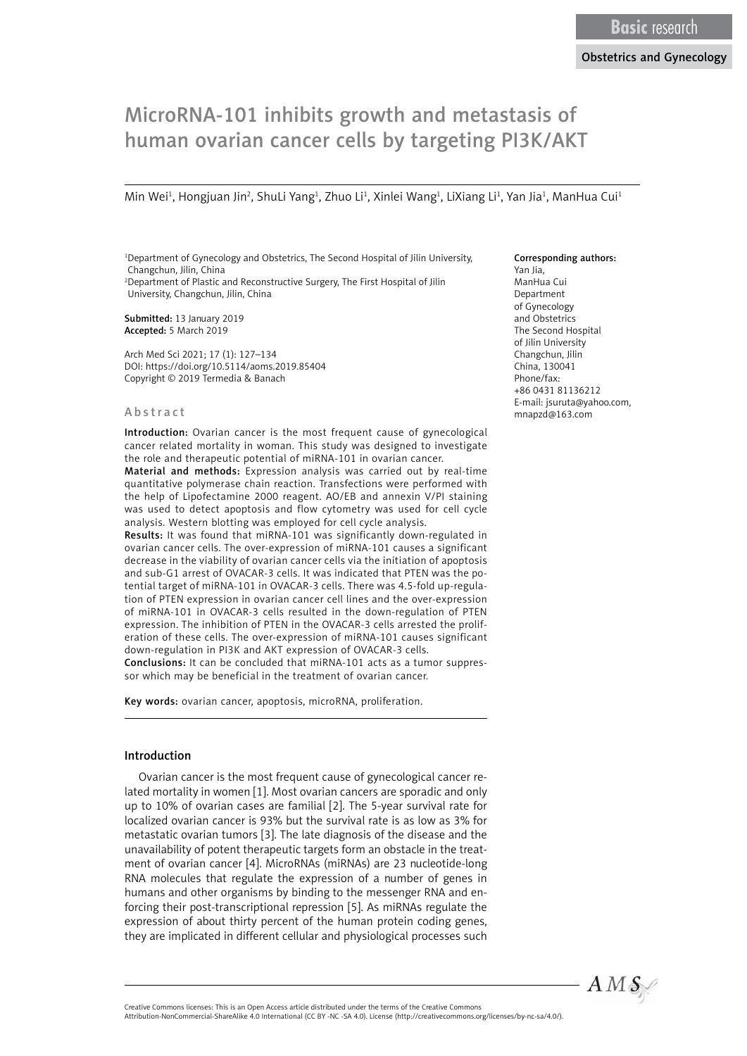# MicroRNA-101 inhibits growth and metastasis of human ovarian cancer cells by targeting PI3K/AKT

Min Wei<sup>1</sup>, Hongjuan Jin<sup>2</sup>, ShuLi Yang<sup>1</sup>, Zhuo Li<sup>1</sup>, Xinlei Wang<sup>1</sup>, LiXiang Li<sup>1</sup>, Yan Jia<sup>1</sup>, ManHua Cui<sup>1</sup>

<sup>1</sup>Department of Gynecology and Obstetrics, The Second Hospital of Jilin University, Changchun, Jilin, China 2 Department of Plastic and Reconstructive Surgery, The First Hospital of Jilin University, Changchun, Jilin, China

Submitted: 13 January 2019 Accepted: 5 March 2019

Arch Med Sci 2021; 17 (1): 127–134 DOI: https://doi.org/10.5114/aoms.2019.85404 Copyright © 2019 Termedia & Banach

#### Abstract

Introduction: Ovarian cancer is the most frequent cause of gynecological cancer related mortality in woman. This study was designed to investigate the role and therapeutic potential of miRNA-101 in ovarian cancer.

Material and methods: Expression analysis was carried out by real-time quantitative polymerase chain reaction. Transfections were performed with the help of Lipofectamine 2000 reagent. AO/EB and annexin V/PI staining was used to detect apoptosis and flow cytometry was used for cell cycle analysis. Western blotting was employed for cell cycle analysis.

Results: It was found that miRNA-101 was significantly down-regulated in ovarian cancer cells. The over-expression of miRNA-101 causes a significant decrease in the viability of ovarian cancer cells via the initiation of apoptosis and sub-G1 arrest of OVACAR-3 cells. It was indicated that PTEN was the potential target of miRNA-101 in OVACAR-3 cells. There was 4.5-fold up-regulation of PTEN expression in ovarian cancer cell lines and the over-expression of miRNA-101 in OVACAR-3 cells resulted in the down-regulation of PTEN expression. The inhibition of PTEN in the OVACAR-3 cells arrested the proliferation of these cells. The over-expression of miRNA-101 causes significant down-regulation in PI3K and AKT expression of OVACAR-3 cells.

Conclusions: It can be concluded that miRNA-101 acts as a tumor suppressor which may be beneficial in the treatment of ovarian cancer.

Key words: ovarian cancer, apoptosis, microRNA, proliferation.

#### Introduction

Ovarian cancer is the most frequent cause of gynecological cancer related mortality in women [1]. Most ovarian cancers are sporadic and only up to 10% of ovarian cases are familial [2]. The 5-year survival rate for localized ovarian cancer is 93% but the survival rate is as low as 3% for metastatic ovarian tumors [3]. The late diagnosis of the disease and the unavailability of potent therapeutic targets form an obstacle in the treatment of ovarian cancer [4]. MicroRNAs (miRNAs) are 23 nucleotide-long RNA molecules that regulate the expression of a number of genes in humans and other organisms by binding to the messenger RNA and enforcing their post-transcriptional repression [5]. As miRNAs regulate the expression of about thirty percent of the human protein coding genes, they are implicated in different cellular and physiological processes such

#### Corresponding authors:

Yan Jia, ManHua Cui Department of Gynecology and Obstetrics The Second Hospital of Jilin University Changchun, Jilin China, 130041 Phone/fax: +86 0431 81136212 E-mail: jsuruta@yahoo.com, mnapzd@163.com



Attribution-NonCommercial-ShareAlike 4.0 International (CC BY -NC -SA 4.0). License (http://creativecommons.org/licenses/by-nc-sa/4.0/).

Creative Commons licenses: This is an Open Access article distributed under the terms of the Creative Commons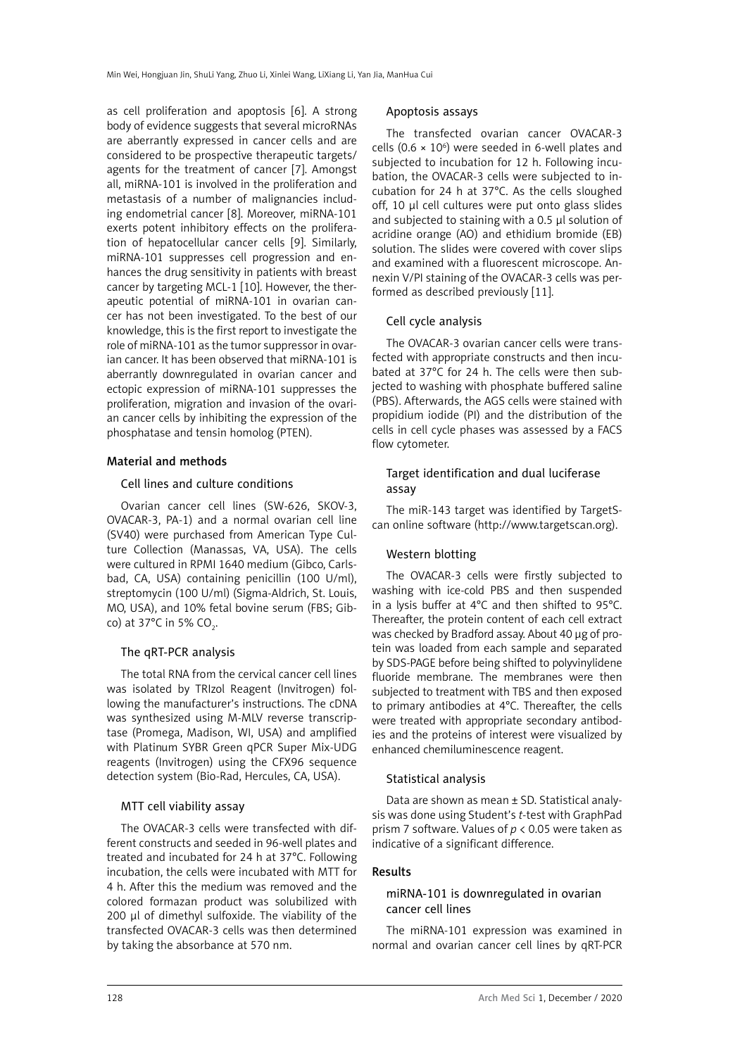as cell proliferation and apoptosis [6]. A strong body of evidence suggests that several microRNAs are aberrantly expressed in cancer cells and are considered to be prospective therapeutic targets/ agents for the treatment of cancer [7]. Amongst all, miRNA-101 is involved in the proliferation and metastasis of a number of malignancies including endometrial cancer [8]. Moreover, miRNA-101 exerts potent inhibitory effects on the proliferation of hepatocellular cancer cells [9]. Similarly, miRNA-101 suppresses cell progression and enhances the drug sensitivity in patients with breast cancer by targeting MCL-1 [10]. However, the therapeutic potential of miRNA-101 in ovarian cancer has not been investigated. To the best of our knowledge, this is the first report to investigate the role of miRNA-101 as the tumor suppressor in ovarian cancer. It has been observed that miRNA-101 is aberrantly downregulated in ovarian cancer and ectopic expression of miRNA-101 suppresses the proliferation, migration and invasion of the ovarian cancer cells by inhibiting the expression of the phosphatase and tensin homolog (PTEN).

## Material and methods

## Cell lines and culture conditions

Ovarian cancer cell lines (SW-626, SKOV-3, OVACAR-3, PA-1) and a normal ovarian cell line (SV40) were purchased from American Type Culture Collection (Manassas, VA, USA). The cells were cultured in RPMI 1640 medium (Gibco, Carlsbad, CA, USA) containing penicillin (100 U/ml), streptomycin (100 U/ml) (Sigma-Aldrich, St. Louis, MO, USA), and 10% fetal bovine serum (FBS; Gibco) at 37°C in 5% CO<sub>2</sub>.

#### The qRT-PCR analysis

The total RNA from the cervical cancer cell lines was isolated by TRIzol Reagent (Invitrogen) following the manufacturer's instructions. The cDNA was synthesized using M-MLV reverse transcriptase (Promega, Madison, WI, USA) and amplified with Platinum SYBR Green qPCR Super Mix-UDG reagents (Invitrogen) using the CFX96 sequence detection system (Bio-Rad, Hercules, CA, USA).

## MTT cell viability assay

The OVACAR-3 cells were transfected with different constructs and seeded in 96-well plates and treated and incubated for 24 h at 37°C. Following incubation, the cells were incubated with MTT for 4 h. After this the medium was removed and the colored formazan product was solubilized with 200 µl of dimethyl sulfoxide. The viability of the transfected OVACAR-3 cells was then determined by taking the absorbance at 570 nm.

#### Apoptosis assays

The transfected ovarian cancer OVACAR-3 cells (0.6  $\times$  10<sup>6</sup>) were seeded in 6-well plates and subjected to incubation for 12 h. Following incubation, the OVACAR-3 cells were subjected to incubation for 24 h at 37°C. As the cells sloughed off, 10 µl cell cultures were put onto glass slides and subjected to staining with a 0.5 µl solution of acridine orange (AO) and ethidium bromide (EB) solution. The slides were covered with cover slips and examined with a fluorescent microscope. Annexin V/PI staining of the OVACAR-3 cells was performed as described previously [11].

## Cell cycle analysis

The OVACAR-3 ovarian cancer cells were transfected with appropriate constructs and then incubated at 37°C for 24 h. The cells were then subjected to washing with phosphate buffered saline (PBS). Afterwards, the AGS cells were stained with propidium iodide (PI) and the distribution of the cells in cell cycle phases was assessed by a FACS flow cytometer.

## Target identification and dual luciferase assay

The miR-143 target was identified by TargetScan online software ([http://www.targetscan.org\)](http://www.targetscan.org).

## Western blotting

The OVACAR-3 cells were firstly subjected to washing with ice-cold PBS and then suspended in a lysis buffer at 4°C and then shifted to 95°C. Thereafter, the protein content of each cell extract was checked by Bradford assay. About 40 µg of protein was loaded from each sample and separated by SDS-PAGE before being shifted to polyvinylidene fluoride membrane. The membranes were then subjected to treatment with TBS and then exposed to primary antibodies at 4°C. Thereafter, the cells were treated with appropriate secondary antibodies and the proteins of interest were visualized by enhanced chemiluminescence reagent.

#### Statistical analysis

Data are shown as mean ± SD. Statistical analysis was done using Student's *t*-test with GraphPad prism 7 software. Values of *p* < 0.05 were taken as indicative of a significant difference.

#### Results

## miRNA-101 is downregulated in ovarian cancer cell lines

The miRNA-101 expression was examined in normal and ovarian cancer cell lines by qRT-PCR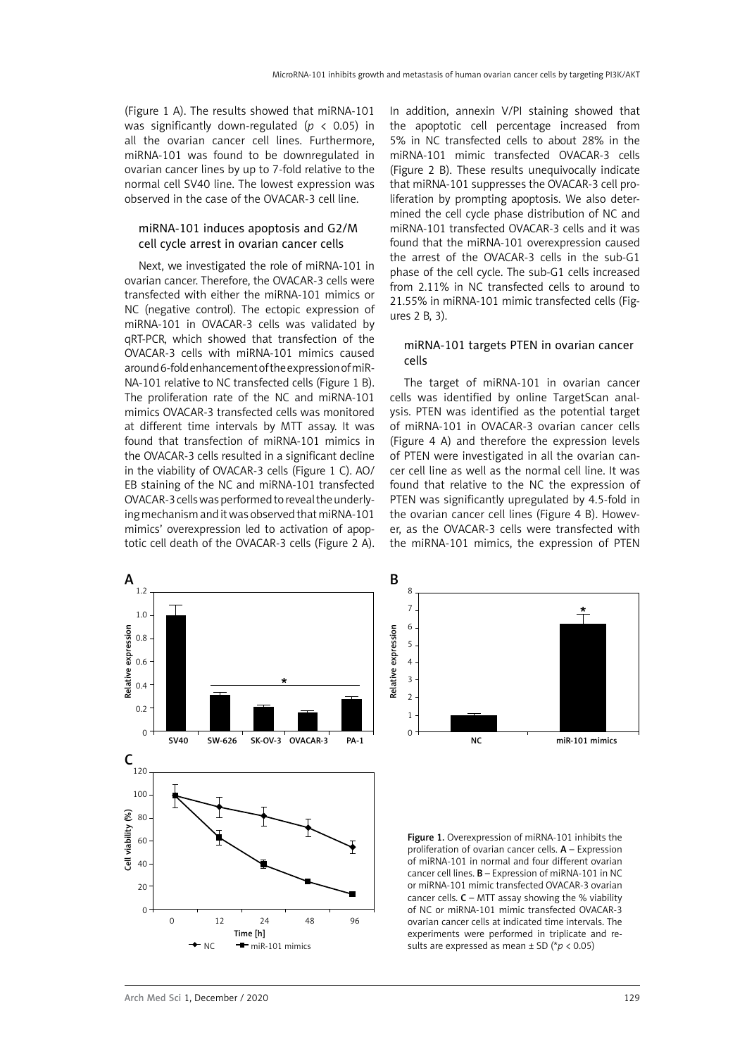(Figure 1 A). The results showed that miRNA-101 was significantly down-regulated (*p* < 0.05) in all the ovarian cancer cell lines. Furthermore, miRNA-101 was found to be downregulated in ovarian cancer lines by up to 7-fold relative to the normal cell SV40 line. The lowest expression was observed in the case of the OVACAR-3 cell line.

## miRNA-101 induces apoptosis and G2/M cell cycle arrest in ovarian cancer cells

Next, we investigated the role of miRNA-101 in ovarian cancer. Therefore, the OVACAR-3 cells were transfected with either the miRNA-101 mimics or NC (negative control). The ectopic expression of miRNA-101 in OVACAR-3 cells was validated by qRT-PCR, which showed that transfection of the OVACAR-3 cells with miRNA-101 mimics caused around 6-fold enhancement of the expression of miR-NA-101 relative to NC transfected cells (Figure 1 B). The proliferation rate of the NC and miRNA-101 mimics OVACAR-3 transfected cells was monitored at different time intervals by MTT assay. It was found that transfection of miRNA-101 mimics in the OVACAR-3 cells resulted in a significant decline in the viability of OVACAR-3 cells (Figure 1 C). AO/ EB staining of the NC and miRNA-101 transfected OVACAR-3 cells was performed to reveal the underlying mechanism and it was observed that miRNA-101 mimics' overexpression led to activation of apoptotic cell death of the OVACAR-3 cells (Figure 2 A).

In addition, annexin V/PI staining showed that the apoptotic cell percentage increased from 5% in NC transfected cells to about 28% in the miRNA-101 mimic transfected OVACAR-3 cells (Figure 2 B). These results unequivocally indicate that miRNA-101 suppresses the OVACAR-3 cell proliferation by prompting apoptosis. We also determined the cell cycle phase distribution of NC and miRNA-101 transfected OVACAR-3 cells and it was found that the miRNA-101 overexpression caused the arrest of the OVACAR-3 cells in the sub-G1 phase of the cell cycle. The sub-G1 cells increased from 2.11% in NC transfected cells to around to 21.55% in miRNA-101 mimic transfected cells (Figures 2 B, 3).

#### miRNA-101 targets PTEN in ovarian cancer cells

The target of miRNA-101 in ovarian cancer cells was identified by online TargetScan analysis. PTEN was identified as the potential target of miRNA-101 in OVACAR-3 ovarian cancer cells (Figure 4 A) and therefore the expression levels of PTEN were investigated in all the ovarian cancer cell line as well as the normal cell line. It was found that relative to the NC the expression of PTEN was significantly upregulated by 4.5-fold in the ovarian cancer cell lines (Figure 4 B). However, as the OVACAR-3 cells were transfected with the miRNA-101 mimics, the expression of PTEN





Figure 1. Overexpression of miRNA-101 inhibits the proliferation of ovarian cancer cells.  $A -$  Expression of miRNA-101 in normal and four different ovarian cancer cell lines. B – Expression of miRNA-101 in NC or miRNA-101 mimic transfected OVACAR-3 ovarian cancer cells.  $C - MTT$  assay showing the % viability of NC or miRNA-101 mimic transfected OVACAR-3 ovarian cancer cells at indicated time intervals. The experiments were performed in triplicate and results are expressed as mean ± SD (\**p* < 0.05)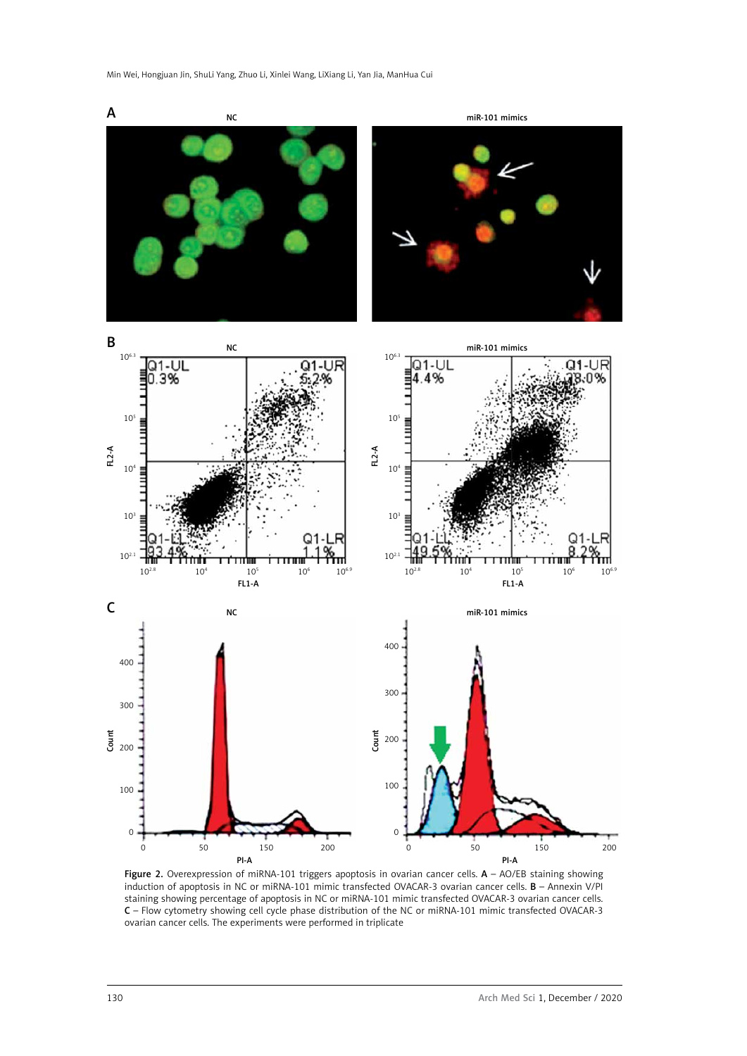

Figure 2. Overexpression of miRNA-101 triggers apoptosis in ovarian cancer cells. A - AO/EB staining showing induction of apoptosis in NC or miRNA-101 mimic transfected OVACAR-3 ovarian cancer cells. B – Annexin V/PI staining showing percentage of apoptosis in NC or miRNA-101 mimic transfected OVACAR-3 ovarian cancer cells. C – Flow cytometry showing cell cycle phase distribution of the NC or miRNA-101 mimic transfected OVACAR-3 ovarian cancer cells. The experiments were performed in triplicate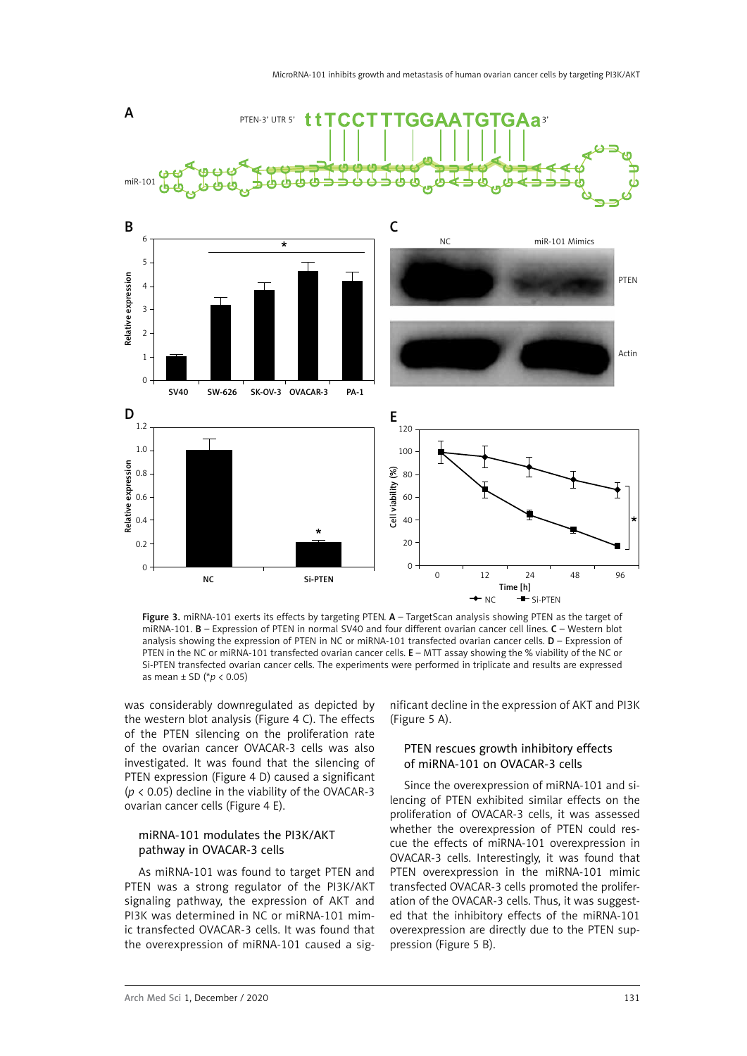

Figure 3. miRNA-101 exerts its effects by targeting PTEN. A - TargetScan analysis showing PTEN as the target of miRNA-101. B – Expression of PTEN in normal SV40 and four different ovarian cancer cell lines. C – Western blot analysis showing the expression of PTEN in NC or miRNA-101 transfected ovarian cancer cells.  $D -$  Expression of PTEN in the NC or miRNA-101 transfected ovarian cancer cells. E – MTT assay showing the % viability of the NC or Si-PTEN transfected ovarian cancer cells. The experiments were performed in triplicate and results are expressed as mean ± SD (\**p* < 0.05)

was considerably downregulated as depicted by the western blot analysis (Figure 4 C). The effects of the PTEN silencing on the proliferation rate of the ovarian cancer OVACAR-3 cells was also investigated. It was found that the silencing of PTEN expression (Figure 4 D) caused a significant (*p* < 0.05) decline in the viability of the OVACAR-3 ovarian cancer cells (Figure 4 E).

## miRNA-101 modulates the PI3K/AKT pathway in OVACAR-3 cells

As miRNA-101 was found to target PTEN and PTEN was a strong regulator of the PI3K/AKT signaling pathway, the expression of AKT and PI3K was determined in NC or miRNA-101 mimic transfected OVACAR-3 cells. It was found that the overexpression of miRNA-101 caused a significant decline in the expression of AKT and PI3K (Figure 5 A).

# PTEN rescues growth inhibitory effects of miRNA-101 on OVACAR-3 cells

Since the overexpression of miRNA-101 and silencing of PTEN exhibited similar effects on the proliferation of OVACAR-3 cells, it was assessed whether the overexpression of PTEN could rescue the effects of miRNA-101 overexpression in OVACAR-3 cells. Interestingly, it was found that PTEN overexpression in the miRNA-101 mimic transfected OVACAR-3 cells promoted the proliferation of the OVACAR-3 cells. Thus, it was suggested that the inhibitory effects of the miRNA-101 overexpression are directly due to the PTEN suppression (Figure 5 B).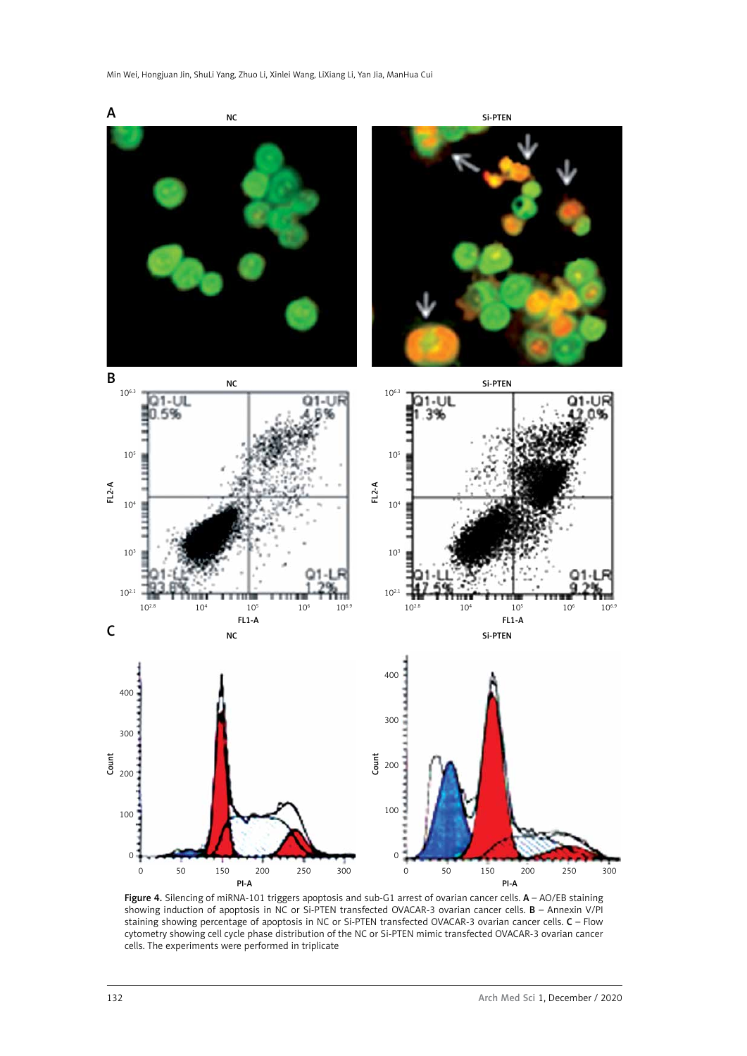

Figure 4. Silencing of miRNA-101 triggers apoptosis and sub-G1 arrest of ovarian cancer cells. A - AO/EB staining showing induction of apoptosis in NC or Si-PTEN transfected OVACAR-3 ovarian cancer cells. B – Annexin V/PI staining showing percentage of apoptosis in NC or Si-PTEN transfected OVACAR-3 ovarian cancer cells. C – Flow cytometry showing cell cycle phase distribution of the NC or Si-PTEN mimic transfected OVACAR-3 ovarian cancer cells. The experiments were performed in triplicate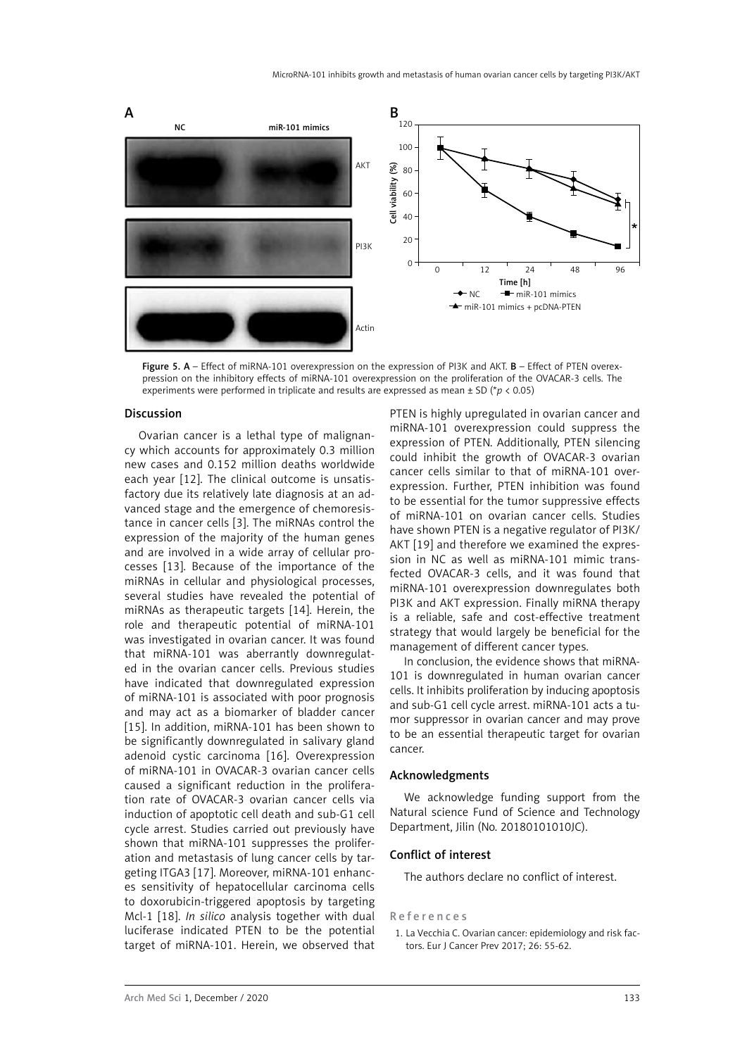

Figure 5. A – Effect of miRNA-101 overexpression on the expression of PI3K and AKT. B – Effect of PTEN overexpression on the inhibitory effects of miRNA-101 overexpression on the proliferation of the OVACAR-3 cells. The experiments were performed in triplicate and results are expressed as mean ± SD (\**p* < 0.05)

## Discussion

Ovarian cancer is a lethal type of malignancy which accounts for approximately 0.3 million new cases and 0.152 million deaths worldwide each year [12]. The clinical outcome is unsatisfactory due its relatively late diagnosis at an advanced stage and the emergence of chemoresistance in cancer cells [3]. The miRNAs control the expression of the majority of the human genes and are involved in a wide array of cellular processes [13]. Because of the importance of the miRNAs in cellular and physiological processes, several studies have revealed the potential of miRNAs as therapeutic targets [14]. Herein, the role and therapeutic potential of miRNA-101 was investigated in ovarian cancer. It was found that miRNA-101 was aberrantly downregulated in the ovarian cancer cells. Previous studies have indicated that downregulated expression of miRNA-101 is associated with poor prognosis and may act as a biomarker of bladder cancer [15]. In addition, miRNA-101 has been shown to be significantly downregulated in salivary gland adenoid cystic carcinoma [16]. Overexpression of miRNA-101 in OVACAR-3 ovarian cancer cells caused a significant reduction in the proliferation rate of OVACAR-3 ovarian cancer cells via induction of apoptotic cell death and sub-G1 cell cycle arrest. Studies carried out previously have shown that miRNA-101 suppresses the proliferation and metastasis of lung cancer cells by targeting ITGA3 [17]. Moreover, miRNA-101 enhances sensitivity of hepatocellular carcinoma cells to doxorubicin-triggered apoptosis by targeting Mcl-1 [18]. *In silico* analysis together with dual luciferase indicated PTEN to be the potential target of miRNA-101. Herein, we observed that

PTEN is highly upregulated in ovarian cancer and miRNA-101 overexpression could suppress the expression of PTEN. Additionally, PTEN silencing could inhibit the growth of OVACAR-3 ovarian cancer cells similar to that of miRNA-101 overexpression. Further, PTEN inhibition was found to be essential for the tumor suppressive effects of miRNA-101 on ovarian cancer cells. Studies have shown PTEN is a negative regulator of PI3K/ AKT [19] and therefore we examined the expression in NC as well as miRNA-101 mimic transfected OVACAR-3 cells, and it was found that miRNA-101 overexpression downregulates both PI3K and AKT expression. Finally miRNA therapy is a reliable, safe and cost-effective treatment strategy that would largely be beneficial for the management of different cancer types.

In conclusion, the evidence shows that miRNA-101 is downregulated in human ovarian cancer cells. It inhibits proliferation by inducing apoptosis and sub-G1 cell cycle arrest. miRNA-101 acts a tumor suppressor in ovarian cancer and may prove to be an essential therapeutic target for ovarian cancer.

## Acknowledgments

We acknowledge funding support from the Natural science Fund of Science and Technology Department, Jilin (No. 20180101010JC).

#### Conflict of interest

The authors declare no conflict of interest.

## References

1. La Vecchia C. Ovarian cancer: epidemiology and risk factors. Eur J Cancer Prev 2017; 26: 55-62.